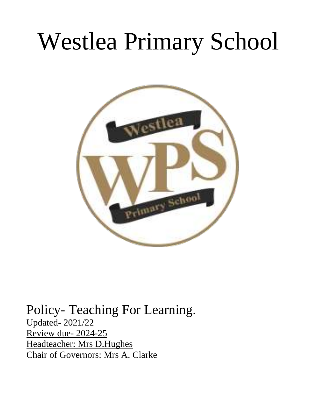# Westlea Primary School



# Policy- Teaching For Learning.

Updated- 2021/22 Review due- 2024-25 Headteacher: Mrs D.Hughes Chair of Governors: Mrs A. Clarke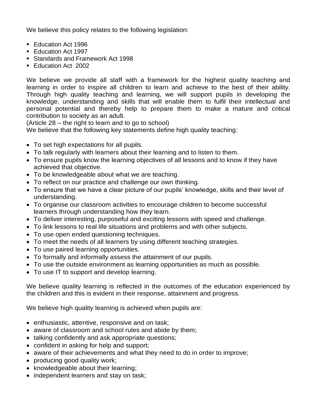We believe this policy relates to the following legislation:

- Education Act 1996
- Education Act 1997
- Standards and Framework Act 1998
- Education Act 2002

We believe we provide all staff with a framework for the highest quality teaching and learning in order to inspire all children to learn and achieve to the best of their ability. Through high quality teaching and learning, we will support pupils in developing the knowledge, understanding and skills that will enable them to fulfil their intellectual and personal potential and thereby help to prepare them to make a mature and critical contribution to society as an adult.

(Article 28 – the right to learn and to go to school)

We believe that the following key statements define high quality teaching:

- To set high expectations for all pupils.
- To talk regularly with learners about their learning and to listen to them.
- To ensure pupils know the learning objectives of all lessons and to know if they have achieved that objective.
- To be knowledgeable about what we are teaching.
- To reflect on our practice and challenge our own thinking.
- To ensure that we have a clear picture of our pupils' knowledge, skills and their level of understanding.
- To organise our classroom activities to encourage children to become successful learners through understanding how they learn.
- To deliver interesting, purposeful and exciting lessons with speed and challenge.
- To link lessons to real life situations and problems and with other subjects.
- To use open ended questioning techniques.
- To meet the needs of all learners by using different teaching strategies.
- To use paired learning opportunities.
- To formally and informally assess the attainment of our pupils.
- To use the outside environment as learning opportunities as much as possible.
- To use IT to support and develop learning.

We believe quality learning is reflected in the outcomes of the education experienced by the children and this is evident in their response, attainment and progress.

We believe high quality learning is achieved when pupils are:

- enthusiastic, attentive, responsive and on task;
- aware of classroom and school rules and abide by them;
- talking confidently and ask appropriate questions;
- confident in asking for help and support;
- aware of their achievements and what they need to do in order to improve;
- producing good quality work;
- knowledgeable about their learning;
- independent learners and stay on task;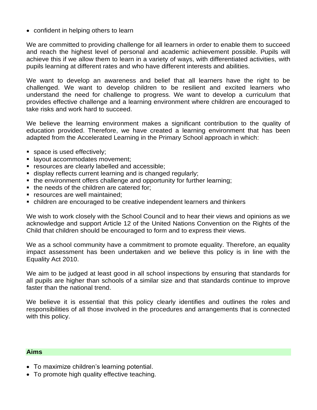• confident in helping others to learn

We are committed to providing challenge for all learners in order to enable them to succeed and reach the highest level of personal and academic achievement possible. Pupils will achieve this if we allow them to learn in a variety of ways, with differentiated activities, with pupils learning at different rates and who have different interests and abilities.

We want to develop an awareness and belief that all learners have the right to be challenged. We want to develop children to be resilient and excited learners who understand the need for challenge to progress. We want to develop a curriculum that provides effective challenge and a learning environment where children are encouraged to take risks and work hard to succeed.

We believe the learning environment makes a significant contribution to the quality of education provided. Therefore, we have created a learning environment that has been adapted from the Accelerated Learning in the Primary School approach in which:

- space is used effectively;
- **E** layout accommodates movement;
- resources are clearly labelled and accessible:
- display reflects current learning and is changed regularly;
- the environment offers challenge and opportunity for further learning;
- the needs of the children are catered for:
- **EXECUTE FIGURE:** resources are well maintained:
- children are encouraged to be creative independent learners and thinkers

We wish to work closely with the School Council and to hear their views and opinions as we acknowledge and support Article 12 of the United Nations Convention on the Rights of the Child that children should be encouraged to form and to express their views.

We as a school community have a commitment to promote equality. Therefore, an equality impact assessment has been undertaken and we believe this policy is in line with the Equality Act 2010.

We aim to be judged at least good in all school inspections by ensuring that standards for all pupils are higher than schools of a similar size and that standards continue to improve faster than the national trend.

We believe it is essential that this policy clearly identifies and outlines the roles and responsibilities of all those involved in the procedures and arrangements that is connected with this policy.

#### **Aims**

- To maximize children's learning potential.
- To promote high quality effective teaching.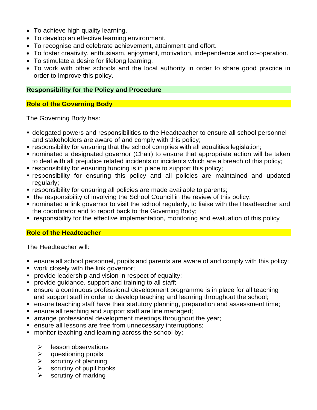- To achieve high quality learning.
- To develop an effective learning environment.
- To recognise and celebrate achievement, attainment and effort.
- To foster creativity, enthusiasm, enjoyment, motivation, independence and co-operation.
- To stimulate a desire for lifelong learning.
- To work with other schools and the local authority in order to share good practice in order to improve this policy.

#### **Responsibility for the Policy and Procedure**

# **Role of the Governing Body**

The Governing Body has:

- delegated powers and responsibilities to the Headteacher to ensure all school personnel and stakeholders are aware of and comply with this policy;
- responsibility for ensuring that the school complies with all equalities legislation;
- nominated a designated governor (Chair) to ensure that appropriate action will be taken to deal with all prejudice related incidents or incidents which are a breach of this policy;
- responsibility for ensuring funding is in place to support this policy;
- **Example 1** responsibility for ensuring this policy and all policies are maintained and updated regularly:
- **EX FESPONSIBILITY for ensuring all policies are made available to parents;**
- the responsibility of involving the School Council in the review of this policy;
- nominated a link governor to visit the school regularly, to liaise with the Headteacher and the coordinator and to report back to the Governing Body;
- responsibility for the effective implementation, monitoring and evaluation of this policy

# **Role of the Headteacher**

The Headteacher will:

- ensure all school personnel, pupils and parents are aware of and comply with this policy;
- **•** work closely with the link governor;
- **•** provide leadership and vision in respect of equality;
- **•** provide quidance, support and training to all staff;
- ensure a continuous professional development programme is in place for all teaching and support staff in order to develop teaching and learning throughout the school;
- ensure teaching staff have their statutory planning, preparation and assessment time;
- ensure all teaching and support staff are line managed;
- **EXE** arrange professional development meetings throughout the year;
- ensure all lessons are free from unnecessary interruptions;
- monitor teaching and learning across the school by:
	- $\triangleright$  lesson observations
	- $\triangleright$  questioning pupils
	- $\triangleright$  scrutiny of planning
	- $\triangleright$  scrutiny of pupil books
	- $\triangleright$  scrutiny of marking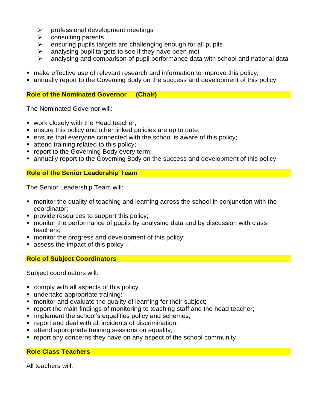- $\triangleright$  professional development meetings
- $\triangleright$  consulting parents
- $\triangleright$  ensuring pupils targets are challenging enough for all pupils
- $\triangleright$  analysing pupil targets to see if they have been met
- ➢ analysing and comparison of pupil performance data with school and national data
- make effective use of relevant research and information to improve this policy;
- **annually report to the Governing Body on the success and development of this policy**

#### **Role of the Nominated Governor (Chair)**

The Nominated Governor will:

- work closely with the Head teacher;
- ensure this policy and other linked policies are up to date;
- ensure that everyone connected with the school is aware of this policy;
- attend training related to this policy;
- **report to the Governing Body every term;**
- **EX annually report to the Governing Body on the success and development of this policy**

#### **Role of the Senior Leadership Team**

The Senior Leadership Team will:

- monitor the quality of teaching and learning across the school in conjunction with the coordinator;
- provide resources to support this policy;
- monitor the performance of pupils by analysing data and by discussion with class teachers;
- monitor the progress and development of this policy;
- assess the impact of this policy

#### **Role of Subject Coordinators**

Subject coordinators will:

- comply with all aspects of this policy
- undertake appropriate training;
- monitor and evaluate the quality of learning for their subject;
- report the main findings of monitoring to teaching staff and the head teacher;
- **E** implement the school's equalities policy and schemes;
- report and deal with all incidents of discrimination;
- **EXECTE:** attend appropriate training sessions on equality;
- report any concerns they have on any aspect of the school community

#### **Role Class Teachers**

All teachers will: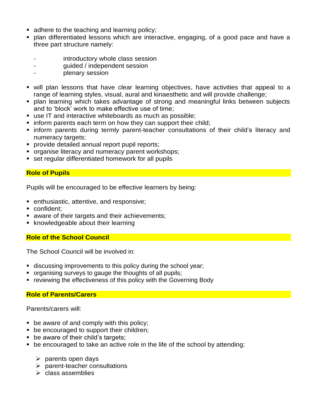- adhere to the teaching and learning policy;
- plan differentiated lessons which are interactive, engaging, of a good pace and have a three part structure namely:
	- introductory whole class session
	- quided / independent session
	- plenary session
- will plan lessons that have clear learning objectives, have activities that appeal to a range of learning styles, visual, aural and kinaesthetic and will provide challenge;
- plan learning which takes advantage of strong and meaningful links between subjects and to 'block' work to make effective use of time;
- use IT and interactive whiteboards as much as possible:
- inform parents each term on how they can support their child;
- **.** inform parents during termly parent-teacher consultations of their child's literacy and numeracy targets;
- **•** provide detailed annual report pupil reports;
- **organise literacy and numeracy parent workshops;**
- set regular differentiated homework for all pupils

# **Role of Pupils**

Pupils will be encouraged to be effective learners by being:

- enthusiastic, attentive, and responsive;
- confident:
- **E** aware of their targets and their achievements;
- knowledgeable about their learning

# **Role of the School Council**

The School Council will be involved in:

- discussing improvements to this policy during the school year;
- organising surveys to gauge the thoughts of all pupils;
- reviewing the effectiveness of this policy with the Governing Body

# **Role of Parents/Carers**

Parents/carers will:

- $\blacksquare$  be aware of and comply with this policy;
- be encouraged to support their children;
- be aware of their child's targets;
- be encouraged to take an active role in the life of the school by attending:
	- $\triangleright$  parents open days
	- ➢ parent-teacher consultations
	- ➢ class assemblies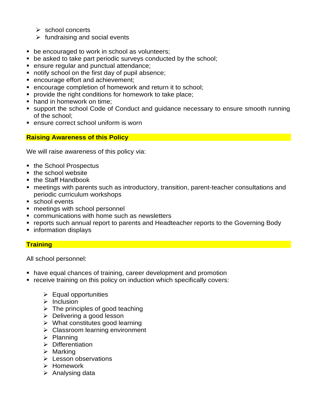- $\triangleright$  school concerts
- $\triangleright$  fundraising and social events
- be encouraged to work in school as volunteers;
- be asked to take part periodic surveys conducted by the school;
- ensure regular and punctual attendance;
- notify school on the first day of pupil absence;
- encourage effort and achievement:
- encourage completion of homework and return it to school;
- provide the right conditions for homework to take place;
- hand in homework on time:
- support the school Code of Conduct and quidance necessary to ensure smooth running of the school;
- ensure correct school uniform is worn

#### **Raising Awareness of this Policy**

We will raise awareness of this policy via:

- the School Prospectus
- the school website
- the Staff Handbook
- meetings with parents such as introductory, transition, parent-teacher consultations and periodic curriculum workshops
- school events
- meetings with school personnel
- communications with home such as newsletters
- reports such annual report to parents and Headteacher reports to the Governing Body
- information displays

# **Training**

All school personnel:

- have equal chances of training, career development and promotion
- receive training on this policy on induction which specifically covers:
	- $\triangleright$  Equal opportunities
	- ➢ Inclusion
	- $\triangleright$  The principles of good teaching
	- ➢ Delivering a good lesson
	- $\triangleright$  What constitutes good learning
	- ➢ Classroom learning environment
	- ➢ Planning
	- ➢ Differentiation
	- ➢ Marking
	- ➢ Lesson observations
	- ➢ Homework
	- ➢ Analysing data